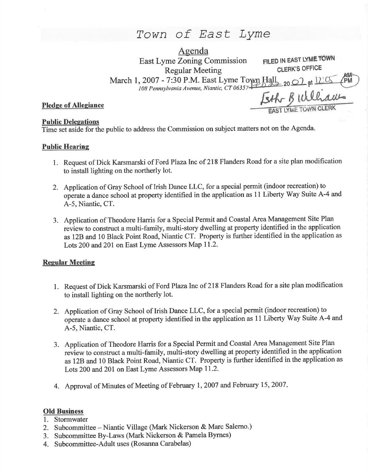# Town of East Lyme

| Agenda                                                      |                             |
|-------------------------------------------------------------|-----------------------------|
| <b>East Lyme Zoning Commission</b>                          | FILED IN EAST LYME TOWN     |
| <b>Regular Meeting</b>                                      | <b>CLERK'S OFFICE</b>       |
| March 1, 2007 - 7:30 P.M. East Lyme Town Hall 2007 at 12:05 |                             |
|                                                             |                             |
|                                                             | Eth Builhams                |
|                                                             | <b>EAST LYME TOWN CLERK</b> |

# Pledge of Allegianc

## **Public Delegations**

Time set aside for the public to address the Commission on subject matters not on the Agenda.

## Public Hearine

- 1. Request of Dick Karsmarski of Ford Plaza Inc of 218 Flanders Road for a site plan modification to install lighting on the northerly lot.
- 2. Application of Gray School of Irish Dance LLC, for a special permit (indoor recreation) to operate a dance school at property identified in the application as 11 Liberty Way Suite A-4 and A-5, Niantic, CT.
- 3. Application of Theodore Haris for a Special Permit and Coastal Area Management Site Plan review to construct a multi-family, multi-story dwelling at property identified in the application as 12B and 10 Black Point Road, Niantic CT. Property is further identified in the application as Lots 200 and 201 on East Lyme Assessors Map I1.2.

## **Regular Meeting**

- 1. Request of Dick Karsmarski of Ford Plaza Inc of 218 Flanders Road for a site plan modification to install lighting on the northerly lot.
- 2. Application of Gray School of Irish Dance LLC, for a special permit (indoor recreation) to operate a dance school at property identified in the application as 11 Liberty Way Suite A-4 and A-5, Niantic, CT.
- 3. Application of Theodore Harris for a Special Permit and Coastal Area Management Site Plan review to construct a multi-family, multi-story dwelling at property identified in the application as 12B and l0 Black Point Road, Niantic CT. Property is further identified inthe application as Lots 200 and 201 on East Lyme Assessors Map 11.2.
- 4. Approval of Minutes of Meeting of February 1,2007 and February 15,2007

## Old Business

- 1. Stormwater
- 2. Subcommittee Niantic Village (Mark Nickerson & Marc Salerno.)
- 3. Subcommittee By-Laws (Mark Nickerson & Pamela Byrnes)
- 4. Subcommittee-Adult uses (Rosanna Carabelas)